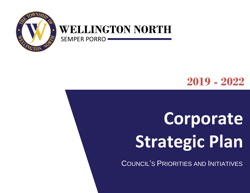

### **WELLINGTON NORTH**

SEMPER PORRO

### **2019 - 2022**

# **Corporate Strategic Plan**

COUNCIL'S PRIORITIES AND INITIATIVES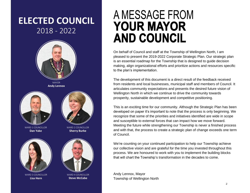### **ELECTED COUNCIL** 2018 - 2022



MAYOR **Andy Lennox**





**Dan Yake** WARD 1 COUNCILLOR

**Sherry Burke** WARD 2 COUNCILLOR

**Steve McCabe** WARD 4 COUNCILLOR



**Lisa Hern** WARD 3 COUNCILLOR



This is an exciting time for our community. Although the Strategic Plan has been developed on paper it's important to note that the process is only beginning. We recognize that some of the priorities and initiatives identified are wide in scope and susceptible to external forces that can impact how we move forward. Meeting the future while strengthening our Township is never a finished process and with that, the process to create a strategic plan of change exceeds one term of Council.

On behalf of Council and staff at the Township of Wellington North, I am

A MESSAGE FROM

**YOUR MAYOR** 

**AND COUNCIL** 

pleased to present the 2019-2022 Corporate Strategic Plan. Our strategic plan is an essential roadmap for the Township that is designed to guide decision making, align organizational efforts and prioritize actions and resources specific

We're counting on your continued participation to help our Township achieve our collective vision and are grateful for the time you invested throughout this process. We are honoured to work with you to implement the building blocks that will chart the Township's transformation in the decades to come.

Andy Lennox, Mayor Township of Wellington North

to the plan's implementation.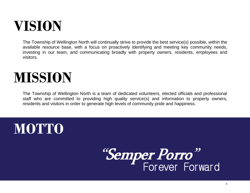### **VISION**

The Township of Wellington North will continually strive to provide the best service(s) possible, within the available resource base, with a focus on proactively identifying and meeting key community needs, investing in our team, and communicating broadly with property owners, residents, employees and visitors.

### **MISSION**

The Township of Wellington North is a team of dedicated volunteers, elected officials and professional staff who are committed to providing high quality service(s) and information to property owners, residents and visitors in order to generate high levels of community pride and happiness.

### **MOTTO**

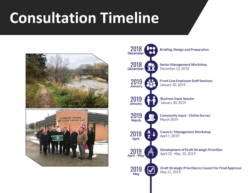# **Consultation Timeline**





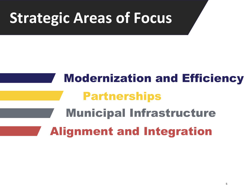# **Strategic Areas of Focus**

# Modernization and Efficiency Partnerships Municipal Infrastructure Alignment and Integration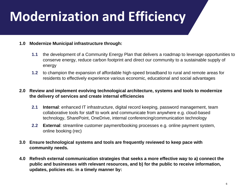### **Modernization and Efficiency**

#### **1.0 Modernize Municipal infrastructure through:**

- **1.1** the development of a Community Energy Plan that delivers a roadmap to leverage opportunities to conserve energy, reduce carbon footprint and direct our community to a sustainable supply of energy
- **1.2** to champion the expansion of affordable high-speed broadband to rural and remote areas for residents to effectively experience various economic, educational and social advantages

#### **2.0 Review and implement evolving technological architecture, systems and tools to modernize the delivery of services and create internal efficiencies**

- **2.1 Internal**: enhanced IT infrastructure, digital record keeping, password management, team collaborative tools for staff to work and communicate from anywhere e.g. cloud-based technology, SharePoint, OneDrive, internal conferencing/communication technology
- **2.2 External**: streamline customer payment/booking processes e.g. online payment system, online booking (rec)
- **3.0 Ensure technological systems and tools are frequently reviewed to keep pace with community needs.**
- **4.0 Refresh external communication strategies that seeks a more effective way to a) connect the public and businesses with relevant resources, and b) for the public to receive information, updates, policies etc. in a timely manner by:**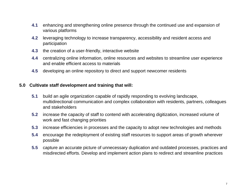- **4.1** enhancing and strengthening online presence through the continued use and expansion of various platforms
- **4.2** leveraging technology to increase transparency, accessibility and resident access and participation
- **4.3** the creation of a user-friendly, interactive website
- **4.4** centralizing online information, online resources and websites to streamline user experience and enable efficient access to materials
- **4.5** developing an online repository to direct and support newcomer residents

#### **5.0 Cultivate staff development and training that will:**

- **5.1** build an agile organization capable of rapidly responding to evolving landscape, multidirectional communication and complex collaboration with residents, partners, colleagues and stakeholders
- **5.2** increase the capacity of staff to contend with accelerating digitization, increased volume of work and fast changing priorities
- **5.3** increase efficiencies in processes and the capacity to adopt new technologies and methods
- **5.4** encourage the redeployment of existing staff resources to support areas of growth wherever possible
- **5.5** capture an accurate picture of unnecessary duplication and outdated processes, practices and misdirected efforts. Develop and implement action plans to redirect and streamline practices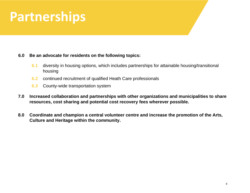### **Partnerships**

#### **6.0 Be an advocate for residents on the following topics:**

- **6.1** diversity in housing options, which includes partnerships for attainable housing/transitional housing
- **6.2** continued recruitment of qualified Heath Care professionals
- **6.3** County-wide transportation system
- **7.0 Increased collaboration and partnerships with other organizations and municipalities to share resources, cost sharing and potential cost recovery fees wherever possible.**
- **8.0 Coordinate and champion a central volunteer centre and increase the promotion of the Arts, Culture and Heritage within the community.**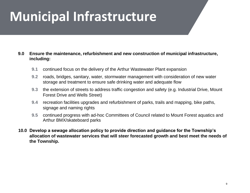### **Municipal Infrastructure**

#### **9.0 Ensure the maintenance, refurbishment and new construction of municipal infrastructure, including:**

- **9.1** continued focus on the delivery of the Arthur Wastewater Plant expansion
- **9.2** roads, bridges, sanitary, water, stormwater management with consideration of new water storage and treatment to ensure safe drinking water and adequate flow
- **9.3** the extension of streets to address traffic congestion and safety (e.g. Industrial Drive, Mount Forest Drive and Wells Street)
- **9.4** recreation facilities upgrades and refurbishment of parks, trails and mapping, bike paths, signage and naming rights
- **9.5** continued progress with ad-hoc Committees of Council related to Mount Forest aquatics and Arthur BMX/skateboard parks
- **10.0 Develop a sewage allocation policy to provide direction and guidance for the Township's allocation of wastewater services that will steer forecasted growth and best meet the needs of the Township.**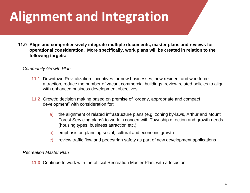### **Alignment and Integration**

**11.0 Align and comprehensively integrate multiple documents, master plans and reviews for operational consideration. More specifically, work plans will be created in relation to the following targets:**

#### *Community Growth Plan*

- **11.1** Downtown Revitalization: incentives for new businesses, new resident and workforce attraction, reduce the number of vacant commercial buildings, review related policies to align with enhanced business development objectives
- **11.2** Growth: decision making based on premise of "orderly, appropriate and compact development" with consideration for:
	- a) the alignment of related infrastructure plans (e.g. zoning by-laws, Arthur and Mount Forest Servicing plans) to work in concert with Township direction and growth needs (housing types, business attraction etc.)
	- b) emphasis on planning social, cultural and economic growth
	- c) review traffic flow and pedestrian safety as part of new development applications

#### *Recreation Master Plan*

**11.3** Continue to work with the official Recreation Master Plan, with a focus on: